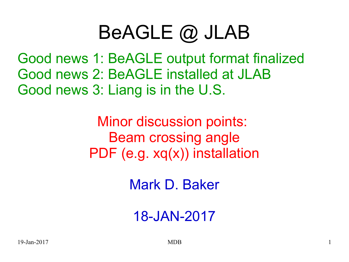### BeAGLE @ JLAB

Good news 1: BeAGLE output format finalized Good news 2: BeAGLE installed at JLAB Good news 3: Liang is in the U.S.

> Minor discussion points: Beam crossing angle PDF (e.g. xq(x)) installation

> > Mark D. Baker

18-JAN-2017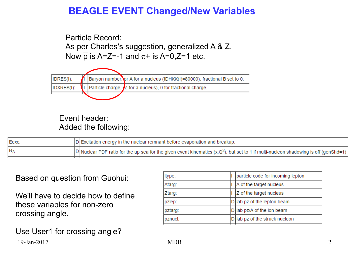#### **BEAGLE EVENT Changed/New Variables**

Particle Record: As per Charles's suggestion, generalized A & Z. Now  $\overline{p}$  is A=Z=-1 and  $\pi$ + is A=0,Z=1 etc.



#### Event header: Added the following:

| Eexc | $ D $ Excitation energy in the nuclear remnant before evaporation and breakup.                                                                       |
|------|------------------------------------------------------------------------------------------------------------------------------------------------------|
| RA   | $ D $ Nuclear PDF ratio for the up sea for the given event kinematics (x,Q <sup>2</sup> ), but set to 1 if multi-nucleon shadowing is off (genShd=1) |
|      |                                                                                                                                                      |

#### Based on question from Guohui:

We'll have to decide how to define these variables for non-zero crossing angle.

19-Jan-2017 MDB 2 Use User1 for crossing angle?

| ltype:  | particle code for incoming lepton |
|---------|-----------------------------------|
| Atarg:  | A of the target nucleus           |
| Ztarg:  | Z of the target nucleus           |
| pzlep:  | D lab pz of the lepton beam       |
| pztarg: | D lab pz/A of the ion beam        |
| pznucl: | D lab pz of the struck nucleon    |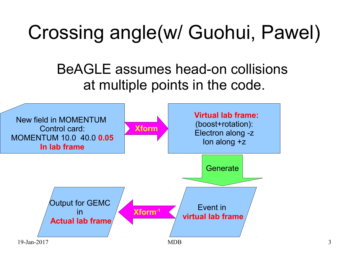# Crossing angle(w/ Guohui, Pawel)

### BeAGLE assumes head-on collisions at multiple points in the code.

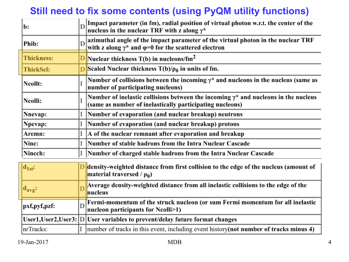### **Still need to fix some contents (using PyQM utility functions)**

| b:                |                | Impact parameter (in fm), radial position of virtual photon w.r.t. the center of the nucleus in the nuclear TRF with z along $\gamma^*$                                              |  |
|-------------------|----------------|--------------------------------------------------------------------------------------------------------------------------------------------------------------------------------------|--|
| Phib:             |                | $\left\vert$ azimuthal angle of the impact parameter of the virtual photon in the nuclear $\operatorname{TRF}$<br>with z along $\gamma^*$ and $\varphi=0$ for the scattered electron |  |
| <b>Thickness:</b> |                | $\frac{D}{D}$ Nuclear thickness T(b) in nucleons/fm <sup>2</sup>                                                                                                                     |  |
| <b>ThickScl:</b>  | $\overline{D}$ | Scaled Nuclear thickness $T(b)/\rho_0$ in units of fm.                                                                                                                               |  |
| Ncollt:           |                | Number of collisions between the incoming $\gamma^*$ and nucleons in the nucleus (same as<br>number of participating nucleons)                                                       |  |
| Ncolli:           |                | Number of inelastic collisions between the incoming $\gamma^*$ and nucleons in the nucleus<br>(same as number of inelastically participating nucleons)                               |  |
| Nnevap:           |                | Number of evaporation (and nuclear breakup) neutrons                                                                                                                                 |  |
| Npevap:           |                | Number of evaporation (and nuclear breakup) protons                                                                                                                                  |  |
| Aremn:            |                | A of the nuclear remnant after evaporation and breakup                                                                                                                               |  |
| Ninc:             |                | Number of stable hadrons from the Intra Nuclear Cascade                                                                                                                              |  |
| Nincch:           |                | Number of charged stable hadrons from the Intra Nuclear Cascade                                                                                                                      |  |

| $\mathbf{d}_{1st}$ :        | D density-weighted distance from first collision to the edge of the nucleus (amount of<br>material traversed / $\rho_0$ )              |  |
|-----------------------------|----------------------------------------------------------------------------------------------------------------------------------------|--|
| $\mathbf{d}_{\text{avg}}$ : | Average density-weighted distance from all inelastic collisions to the edge of the<br>nucleus                                          |  |
| pxf,pyf,pzf:                | $\boxed{\text{D}}$ Fermi-momentum of the struck nucleon (or sum Fermi momentum for all inelastic<br>nucleon participants for Neolli>1) |  |
|                             | User1, User2, User3: D User variables to prevent/delay future format changes                                                           |  |
| nrTracks:                   | number of tracks in this event, including event history(not number of tracks minus 4)                                                  |  |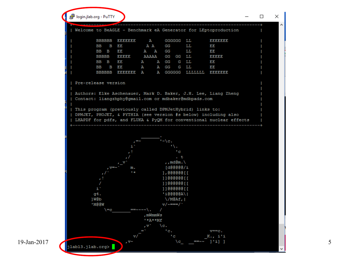| <b>BBBBBB</b><br>EEEEEEE<br>GGGGGG LL<br>ЕЕЕЕЕЕЕ<br>$\mathbf{A}$<br>ВB<br>B EE<br>A A<br>GG<br>LL<br>EE<br>EE<br>A A GG<br>LL<br>BB B<br>EE<br><b>BBBBB</b><br>EEEEE<br>AAAAA GG GG LL<br>eeeee<br>EE<br>BB B<br>A GG<br>G LL<br>EE<br>A<br>B EE<br>ВB<br>A GG<br>G LL<br>EE<br>A<br>BBBBBB EEEEEEE A<br>A GGGGGG LLLLLLL EEEEEEE<br>Pre-release version<br>Authors: Elke Aschenauer, Mark D. Baker, J.H. Lee, Liang Zheng<br>Contact: liangzhphy@gmail.com or mdbaker@mdbpads.com<br>This program (previously called DPMJetHybrid) links to:<br>DPMJET, PHOJET, & PYTHIA (see version #s below) including also<br>LHAPDF for pdfs, and FLUKA & PyQM for conventional nuclear effects<br>$L = \{c_n\}$<br>7 X .<br>$^{-1}$ c<br>. t<br>,, md $\mathbb{Gm}$ .<br>$V = \infty$<br>[d@@@@@/i<br>m.<br>$1 +$<br>1,00000011<br>1100000011<br>1100000011<br>$\mathtt{i}^{\times}$<br>1100000011<br>'i@@@@@A\ <br>g4.<br>]W@b<br>$\setminus$ /M@Af,  <br>'M@@W<br>$\frac{1}{\sqrt{2}}$ $\frac{1}{\sqrt{2}}$ $\frac{1}{\sqrt{2}}$ $\frac{1}{\sqrt{2}}$ $\frac{1}{\sqrt{2}}$ |
|---------------------------------------------------------------------------------------------------------------------------------------------------------------------------------------------------------------------------------------------------------------------------------------------------------------------------------------------------------------------------------------------------------------------------------------------------------------------------------------------------------------------------------------------------------------------------------------------------------------------------------------------------------------------------------------------------------------------------------------------------------------------------------------------------------------------------------------------------------------------------------------------------------------------------------------------------------------------------------------------------------------------------------------------------------------------|
|                                                                                                                                                                                                                                                                                                                                                                                                                                                                                                                                                                                                                                                                                                                                                                                                                                                                                                                                                                                                                                                                     |
|                                                                                                                                                                                                                                                                                                                                                                                                                                                                                                                                                                                                                                                                                                                                                                                                                                                                                                                                                                                                                                                                     |
|                                                                                                                                                                                                                                                                                                                                                                                                                                                                                                                                                                                                                                                                                                                                                                                                                                                                                                                                                                                                                                                                     |
|                                                                                                                                                                                                                                                                                                                                                                                                                                                                                                                                                                                                                                                                                                                                                                                                                                                                                                                                                                                                                                                                     |
|                                                                                                                                                                                                                                                                                                                                                                                                                                                                                                                                                                                                                                                                                                                                                                                                                                                                                                                                                                                                                                                                     |
|                                                                                                                                                                                                                                                                                                                                                                                                                                                                                                                                                                                                                                                                                                                                                                                                                                                                                                                                                                                                                                                                     |
|                                                                                                                                                                                                                                                                                                                                                                                                                                                                                                                                                                                                                                                                                                                                                                                                                                                                                                                                                                                                                                                                     |
|                                                                                                                                                                                                                                                                                                                                                                                                                                                                                                                                                                                                                                                                                                                                                                                                                                                                                                                                                                                                                                                                     |
|                                                                                                                                                                                                                                                                                                                                                                                                                                                                                                                                                                                                                                                                                                                                                                                                                                                                                                                                                                                                                                                                     |
|                                                                                                                                                                                                                                                                                                                                                                                                                                                                                                                                                                                                                                                                                                                                                                                                                                                                                                                                                                                                                                                                     |
|                                                                                                                                                                                                                                                                                                                                                                                                                                                                                                                                                                                                                                                                                                                                                                                                                                                                                                                                                                                                                                                                     |
|                                                                                                                                                                                                                                                                                                                                                                                                                                                                                                                                                                                                                                                                                                                                                                                                                                                                                                                                                                                                                                                                     |
|                                                                                                                                                                                                                                                                                                                                                                                                                                                                                                                                                                                                                                                                                                                                                                                                                                                                                                                                                                                                                                                                     |
|                                                                                                                                                                                                                                                                                                                                                                                                                                                                                                                                                                                                                                                                                                                                                                                                                                                                                                                                                                                                                                                                     |
|                                                                                                                                                                                                                                                                                                                                                                                                                                                                                                                                                                                                                                                                                                                                                                                                                                                                                                                                                                                                                                                                     |
| $\setminus = c$<br>$=$ $=$ $\sim$ $\sim$ $\sim$ $\backslash$ .                                                                                                                                                                                                                                                                                                                                                                                                                                                                                                                                                                                                                                                                                                                                                                                                                                                                                                                                                                                                      |
| , mWmmWs                                                                                                                                                                                                                                                                                                                                                                                                                                                                                                                                                                                                                                                                                                                                                                                                                                                                                                                                                                                                                                                            |
| $**A**Mf$                                                                                                                                                                                                                                                                                                                                                                                                                                                                                                                                                                                                                                                                                                                                                                                                                                                                                                                                                                                                                                                           |
| $\setminus c$ .<br>, ⊽ '                                                                                                                                                                                                                                                                                                                                                                                                                                                                                                                                                                                                                                                                                                                                                                                                                                                                                                                                                                                                                                            |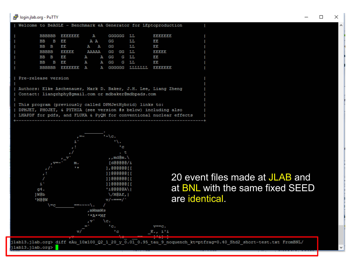#### login.jlab.org - PuTTY

|                     |  |  |                                                         |  |  |           |  | Welcome to BeAGLE - Benchmark eA Generator for LEptoproduction     |  |
|---------------------|--|--|---------------------------------------------------------|--|--|-----------|--|--------------------------------------------------------------------|--|
|                     |  |  | BBBBBB EEEEEEE A GGGGGG LL                              |  |  |           |  | <b>BBBBBBBB</b>                                                    |  |
|                     |  |  | BB B EE A A GG LL                                       |  |  |           |  | EE                                                                 |  |
|                     |  |  | BB B EE                                                 |  |  | A A GG LL |  | ЕE                                                                 |  |
|                     |  |  | BBBBB EEEEE AAAAA GG GG LL                              |  |  |           |  | BBBBB                                                              |  |
|                     |  |  | BB B EE A A GG G LL                                     |  |  |           |  | E) B                                                               |  |
|                     |  |  | BB B EE A A GG G LL                                     |  |  |           |  | 13,13                                                              |  |
|                     |  |  | BBBBBB EEEEEEE A A GGGGGG LLLLLLL EEEEEEE               |  |  |           |  |                                                                    |  |
|                     |  |  |                                                         |  |  |           |  |                                                                    |  |
| Pre-release version |  |  |                                                         |  |  |           |  |                                                                    |  |
|                     |  |  |                                                         |  |  |           |  |                                                                    |  |
|                     |  |  |                                                         |  |  |           |  | Authors: Elke Aschenauer, Mark D. Baker, J.H. Lee, Liang Zheng     |  |
|                     |  |  | Contact: liangzhphy@gmail.com or mdbaker@mdbpads.com    |  |  |           |  |                                                                    |  |
|                     |  |  |                                                         |  |  |           |  |                                                                    |  |
|                     |  |  | This program (previously called DPMJetHybrid) links to: |  |  |           |  |                                                                    |  |
|                     |  |  |                                                         |  |  |           |  | DPMJET, PHOJET, & PYTHIA (see version #s below) including also     |  |
|                     |  |  |                                                         |  |  |           |  | LHAPDF for pdfs, and FLUKA & PyQM for conventional nuclear effects |  |
|                     |  |  |                                                         |  |  |           |  |                                                                    |  |



#### 20 event files made at JLAB and at BNL with the same fixed SEED are identical.

jlabl3.jlab.org> diff eAu\_10x100\_Q2\_1\_20\_y\_0.01\_0.95\_tau\_9\_noquench\_kt=ptfrag=0.40\_Shd2\_short-test.txt FromBNL/<br>jlabl3.jlab.org>  $\blacksquare$ 

 $\Box$ 

×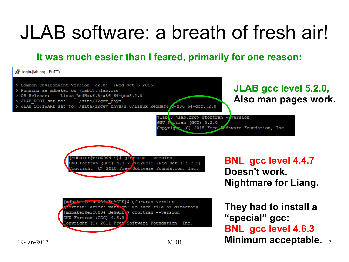### JLAB software: a breath of fresh air!

**It was much easier than I feared, primarily for one reason:**

login.jlab.org - PuTTY

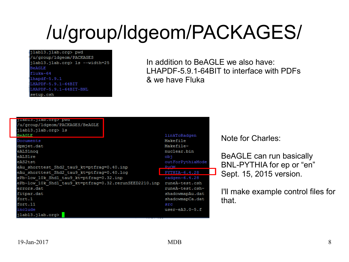## /u/group/ldgeom/PACKAGES/

#### jlabl3.jlab.org> pwd

/u/group/ldgeom/PACKAGES ilabl3.ilab.org> ls --width=25 BeAGLE fluka-64  $hapdf-5.9.1$ HAPDF-5.9.1-64BIT HAPDF-5.9.1-64BIT-BNL etup.csh

In addition to BeAGLE we also have: LHAPDF-5.9.1-64BIT to interface with PDFs & we have Fluka

| Jiabis. Jiab.org> pwd<br>/u/group/ldgeom/PACKAGES/BeAGLE<br>jlabl3.jlab.org> ls<br><b>BeAGLE</b> | linkToRadgen                     |
|--------------------------------------------------------------------------------------------------|----------------------------------|
| Documents<br>dpmjet.dat                                                                          | Makefile<br>Makefile~            |
| eALS1nog<br>eALS1 re                                                                             | nuclear.bin<br>obi               |
| eAS2tst<br>eAu shorttest Shd2 tau9 kt=ptfrag=0.40.inp                                            | outForPythiaMod<br><b>D</b> szOM |
| eAu shorttest Shd2 tau9 kt=ptfrag=0.40.log                                                       | PYTHIA-6.4.28                    |
| ePb-low 10k Shd1 tau9 kt=ptfraq=0.32.inp                                                         | radgen- $6.4.28$                 |
| ePb-low 10k Shd1 tau9 kt=ptfrag=0.32.rerunSEED2210.inp                                           | runeA-test.csh                   |
| errors.dat                                                                                       | runeA-test.csh~                  |
| fitpar.dat                                                                                       | shadowmapAu.dat                  |
| fort.1                                                                                           | shadowmapCa.dat                  |
| fort.11                                                                                          | src                              |
| include                                                                                          | $user-eA3.0-5.f$                 |
| (jlabl3.jlab.org>                                                                                |                                  |

#### Note for Charles:

BeAGLE can run basically BNL-PYTHIA for ep or "en" Sept. 15, 2015 version.

I'll make example control files for that.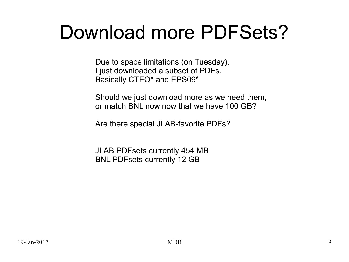### Download more PDFSets?

Due to space limitations (on Tuesday), I just downloaded a subset of PDFs. Basically CTEQ\* and EPS09\*

Should we just download more as we need them, or match BNL now now that we have 100 GB?

Are there special JLAB-favorite PDFs?

JLAB PDFsets currently 454 MB BNL PDFsets currently 12 GB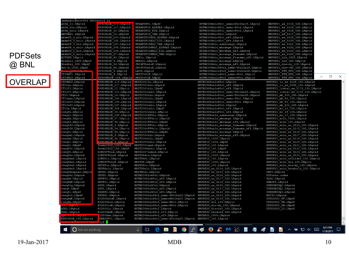| 19-Jan-2017 | <b>MDB</b> | 10 |
|-------------|------------|----|
|             |            |    |

PDFSets

@ BNL

| 1/18/2017 |   |                       |  |  |  |  |
|-----------|---|-----------------------|--|--|--|--|
|           |   |                       |  |  |  |  |
|           | L | $\mathbf{\mathbf{0}}$ |  |  |  |  |

8:13 PM

Ų

 $\Box$ 

 $-$ 

 $\times$ 

|         | CT09MC2.LHqrid  | EPS09NLOR 108.LHqrid | MRST2001E.LHpd  |
|---------|-----------------|----------------------|-----------------|
| OVERLAP | CT09MCS.LHgrid  | EPS09NLOR 115.LHqrid | MRST20011o.LHqr |
|         | CT10as.LHqrid   | EPS09NLOR 117.LHqrid | MRST2001nlo.LHq |
|         | CT10f3.LHqrid   | EPS09NLOR 12.LHqrid  | MRST2001nlo.LHp |
|         | CT10f4.LHqrid   | EPS09NLOR 131.LHgrid | MRST2001nnlo.LH |
|         | CT10.LHgrid     | EPS09NLOR 16.LHqrid  | MRST2002nlo.LHo |
|         | CT10was.LHqrid  | EPS09NLOR 184.LHqrid | MRST2002nlo.LHp |
|         | CT10wf3.LHqrid  | EPS09NLOR 195.LHqrid | MRST2002nnlo.LH |
|         | CT10wf4.LHgrid  | EPS09NLOR 197.LHqrid | MRST2003cnlo.LH |
|         | CT10w.LHgrid    | EPS09NLOR 208.LHqrid | MRST2003cnlo.LH |
|         | cteq4d.LHqrid   | EPS09NLOR 20.LHgrid  | MRST2003cnnlo.I |
|         | cteq41.LHqrid   | EPS09NLOR 238.LHqrid | MRST2004FF31o.I |
|         | cteq4m.LHgrid   | EPS09NLOR 27.LHqrid  | MRST2004FF3nlo. |
|         | cteq5d.LHqrid   | EPS09NLOR 40.LHgrid  | MRST2004FF3nlo. |
|         | cteq5f3.LHqrid  | EPS09NLOR 4.LHqrid   | MRST2004FF41o.I |
|         | cteq5f4.LHqrid  | EPS09NLOR 56.LHqrid  | MRST2004FF4nlo. |
|         | cteg51.LHqrid   | EPS09NLOR 64.LHqrid  | MRST2004FF4nlo. |
|         | cteg5m1.LHgrid  | EPS09NLOR 6.LHqrid   | MRST2004nlo.LHo |
|         | cteg5m.LHgrid   | EPS09NLOR 84.LHqrid  | MRST2004nlo.LHr |
|         | cteg61.LHqrid   | EPS09NLOR 9.LHarid   | MRST2004nnlo.LH |
|         | cteq61.LHpdf    | Fermi2002 1000.LHpdf | MRST2004ged.LHg |
|         | cteq65c.LHgrid  | Fermi2002 100.LHpdf  | MRST2006nnlo.LH |
|         | cteg65.LHgrid   | GJR08FFdis.LHgrid    | MRST20071omod.I |
|         | cteq65s.LHqrid  | GJR08FFnloE.LHgrid   | MRST98dis.LHgri |
|         | cteq66a0.LHqrid | GJR081o.LHqrid       | MRST98ht.LHgrid |
|         | cteg66a1.LHqrid | GJR08VFnloE.LHorid   | MRST98.LHpdf    |

**O** Ask me anything

H

| [mdbaker@eic0004 PDFsets]\$ 1s |                      |                                      |                                         |                                                        |
|--------------------------------|----------------------|--------------------------------------|-----------------------------------------|--------------------------------------------------------|
| a02m lo.LHgrid                 | EPS09LOR 115.LHgrid  | HERAPDF01.LHpdf                      | MSTW2008nlo90cl asmz+90clhalf.LHqrid    | NNPDF21 as 0114 100.LHgrid                             |
| a02m nlo.LHgrid                | EPS09LOR 117.LHgrid  | HERAPDF10 ALPHAS.LHgrid              | MSTW2008nlo90cl asmz-90cl.LHgrid        | NNPDF21 as 0115 100.LHgrid                             |
| a02m nnlo.LHgrid               | EPS09LOR 12. LHgrid  | HERAPDF10 EIG.LHgrid                 | MSTW2008nlo90cl asmz+90cl.LHqrid        | NNPDF21 as 0116 100.LHgrid                             |
| ABFKWPI.LHgrid                 | EPS09LOR 16. LHqrid  | HERAPDF10 VAR.LHgrid                 | MSTW2008nlo90cl.LHqrid                  | NNPDF21 as 0117 100.LHgrid                             |
| abkm09_3_nlo.LHgrid            | EPS09LOR 184.LHgrid  | HERAPDF15NLO ALPHAS.LHgrid           | MSTW2008nlo90cl nf3.LHgrid              | NNPDF21 as 0118 100.LHgrid                             |
| abkm09 3 nnlo. LHgrid          | EPS09LOR 195.LHgrid  | HERAPDF15NLO EIG.LHgrid              | MSTW2008nlo90cl nf4.LHgrid              | NNPDF21 as 0120 100.LHgrid                             |
| abkm09 4 nlo.LHqrid            | EPS09LOR 197.LHqrid  | HERAPDF15NLO VAR.LHqrid              | MSTW2008nlo asmzrange.LHgrid            | NNPDF21 as 0121 100.LHqrid                             |
| abkm09 4 nnlo.LHgrid           | EPS09LOR 208.LHgrid  | HERAPDF15NNLO ALPHAS.LHgrid          | MSTW2008nlo mbrange.LHqrid              | NNPDF21 as 0122 100.LHgrid                             |
| abkm09 5 nlo.LHgrid            | EPS09LOR 238.LHgrid  | HERAPDF15NNLO EIG.LHgrid             | MSTW2008nlo mbrange nf4.LHgrid          | NNPDF21 as 0123 100.LHgrid                             |
| abkm09 5 nnlo.LHgrid           | EPS09LOR 27.LHgrid   | HERAPDF15NNLO VAR.LHgrid             | MSTW2008nlo mcrange fixasmz.LHgrid      | NNPDF21 as 0124 100.LHgrid                             |
| ACFGPG.LHgrid                  | EPS09LOR 40.LHgrid   | HKNlo.LHqrid                         | MSTW2008nlo mcrange fixasmz nf3.LHgrid  | NNPDF21 dis 1000.LHgrid                                |
| Alekhin 1000.LHpdf             | EPS09LOR 4.LHgrid    | HKNnlo.LHgrid                        | MSTW2008nlo mcrange.LHgrid              | NNPDF21 dis 100.LHgrid                                 |
| Alekhin 100.LHpdf              | EPS09LOR 56.LHgrid   | JR09FFnnloE.LHgrid                   | MSTW2008nlo mcrange nf3.LHgrid          | NNPDF21 dis+dy 100.LHgrid                              |
| Botje_1000.LHpdf               | EPS09LOR 64.LHgrid   | JR09VFnnloE.LHgrid                   | MSTW2008nnlo68cl asmz-68clhalf.LHgrid   | NNPDF21 dis+jet_100.LHgrid                             |
|                                | EPS09LOR 6.LHgrid    | LACG.LHqrid                          | MSTW2008nnlo68cl asmz+68clhalf.LHqrid   | NNPDF21 FFN NF3 100.LHgrid                             |
| CT09MC1.LHgrid                 | EPS09LOR 9.LHgrid    | MRST2001E.LHgrid                     | MSTW2008nnlo68cl asmz-68cl.LHgrid       | NNPDF21 FFN NF4 100.LHgrid                             |
| CT09MC2.LHgrid                 | EPS09NLOR 108.LHgrid | MRST2001E.LHpdf                      | MSTW2008nnlo68cl asmz+68cl.LHgrid       | $\overline{\phantom{0}}$<br>NNPDF21 FFN NF5 100.LHgrid |
|                                |                      |                                      |                                         |                                                        |
| CT09MCS.LHqrid                 | EPS09NLOR 115.LHgrid | MRST20011o.LHqrid                    | MSTW2008nnlo68cl.LHqrid                 | NNPDF21 lo as 0119 100.LHqrid                          |
| CT10as.LHqrid                  | EPS09NLOR 117.LHgrid | MRST2001nlo.LHqrid                   | MSTW2008nnlo68cl nf3.LHqrid             | NNPDF21 lo as 0130 100.LHgrid                          |
| CT10f3.LHgrid                  | EPS09NLOR 12.LHgrid  | MRST2001nlo.LHpdf                    | MSTW2008nnlo68cl nf4.LHgrid             | NNPDF21 lostar as 0119 100.LHgrid                      |
| CT10f4.LHgrid                  | EPSO9NLOR 131.LHgrid | MRST2001nnlo.LHgrid                  | MSTW2008nnlo90cl asmz-90clhalf.LHgrid   | NNPDF21 lostar as 0130 100.LHgrid                      |
| CT10.LHgrid                    | EPS09NLOR 16. LHgrid | MRST2002nlo.LHgrid                   | MSTW2008nnlo90cl asmz+90clhalf.LHgrid   | NNPDF21 mb 425 100.LHgrid                              |
| CT10was.LHgrid                 | EPS09NLOR 184.LHgrid | MRST2002nlo.LHpdf                    | MSTW2008nnlo90cl asmz-90cl.LHqrid       | NNPDF21 mb 45 100.LHgrid                               |
| CT10wf3.LHgrid                 | EPS09NLOR 195.LHgrid | MRST2002nnlo.LHqrid                  | MSTW2008nnlo90cl asmz+90cl.LHgrid       | NNPDF21 mb 50 100.LHgrid                               |
| CT10wf4.LHgrid                 | EPS09NLOR 197.LHgrid | MRST2003cnlo.LHgrid                  | MSTW2008nnlo90cl.LHgrid                 | NNPDF21 mb 525 100.LHgrid                              |
| CT10w.LHgrid                   | EPS09NLOR 208.LHgrid | MRST2003cnlo.LHpdf                   | MSTW2008nnlo90cl nf3.LHgrid             | NNPDF21 mc 15 100.LHgrid                               |
| cteq4d.LHgrid                  | EPS09NLOR 20.LHqrid  | MRST2003cnnlo.LHqrid                 | MSTW2008nnlo90cl nf4.LHqrid             | NNPDF21 mc 16 100.LHqrid                               |
| cteq41.LHgrid                  | EPS09NLOR 238.LHgrid | MRST2004FF31o.LHgrid                 | MSTW2008nnlo asmzrange.LHgrid           | NNPDF21 mc 17 100.LHgrid                               |
| cteq4m.LHgrid                  | EPS09NLOR 27.LHgrid  | MRST2004FF3nlo.LHgrid                | MSTW2008nnlo mbrange.LHgrid             | NNPDF21 nnlo 1000.LHgrid                               |
| cteq5d.LHqrid                  | EPS09NLOR 40.LHgrid  | MRST2004FF3nlo.LHpdf                 | MSTW2008nnlo mbrange nf4.LHgrid         | NNPDF21 nnlo 100.LHgrid                                |
| cteq5f3.LHgrid                 | EPS09NLOR 4.LHqrid   | MRST2004FF41o.LHqrid                 | MSTW2008nnlo mcrange fixasmz.LHgrid     | NNPDF21 nnlo as 0114 100.LHgrid                        |
| cteq5f4.LHgrid                 | EPS09NLOR 56.LHgrid  | MRST2004FF4nlo.LHgrid                | MSTW2008nnlo mcrange fixasmz nf3.LHgrid | NNPDF21 nnlo as 0115 100.LHgrid                        |
| cteq51.LHgrid                  | EPS09NLOR 64.LHgrid  | MRST2004FF4nlo.LHpdf                 | MSTW2008nnlo mcrange.LHgrid             | NNPDF21 nnlo as 0116 100.LHgrid                        |
| cteq5m1.LHgrid                 | EPS09NLOR 6.LHgrid   | MRST2004nlo.LHgrid                   | MSTW2008nnlo mcrange nf3.LHgrid         | NNPDF21 nnlo as 0117 100.LHgrid                        |
| cteq5m.LHqrid                  | EPS09NLOR 84. LHgrid | MRST2004nlo.LHpdf                    | NNPDF10 1000.LHgrid                     | NNPDF21 nnlo as 0118 100.LHgrid                        |
| cteq61.LHgrid                  | EPS09NLOR 9.LHqrid   | MRST2004nnlo.LHqrid                  | NNPDF10 1000.LHpdf                      | NNPDF21 nnlo as 0120 100.LHgrid                        |
| cteq61.LHpdf                   | Fermi2002 1000.LHpdf | MRST2004ged.LHgrid                   | NNPDF10 100.LHgrid                      | NNPDF21 nnlo as 0121 100.LHgrid                        |
| cteq65c.LHgrid                 | Fermi2002 100.LHpdf  | MRST2006nnlo.LHgrid                  | NNPDF10 100.LHpdf                       | NNPDF21 nnlo as 0122 100.LHgrid                        |
| cteq65.LHgrid                  | GJR08FFdis.LHgrid    | MRST20071omod.LHgrid                 | NNPDF11 100.LHgrid                      | NNPDF21 nnlo as 0123 100.LHgrid                        |
| cteq65s.LHgrid                 | GJR08FFnloE.LHqrid   | MRST98dis.LHgrid                     | NNPDF12 1000.LHgrid                     | NNPDF21 nnlo as 0124 100.LHgrid                        |
| cteq66a0.LHgrid                | GJR081o.LHgrid       | MRST98ht.LHgrid                      | NNPDF12 100.LHgrid                      | NNPDF21 nnlo collider 100.LHgrid                       |
| cteq66a1.LHgrid                | GJR08VFnloE.LHqrid   | MRST98.LHpdf                         | NNPDF20 1000.LHgrid                     | NNPDF21 nnlo dis 100.LHgrid                            |
| cteq66a2.LHgrid                | GRV981o.LHgrid       | MRST981o.LHgrid                      | NNPDF20 100.LHgrid                      | NNPDF21 nnlo dis+dy 100.LHgrid                         |
| cteq66a3.LHgrid                | GRV98nlo.LHgrid      | MRST98nlo.LHgrid                     | NNPDF20 as 0114 100.LHgrid              | NNPDF21 nnlo heraonly 100.LHgrid                       |
| cteq66alphas. LHqri            | GRVGO.LHqrid         | MRSTMCal.LHqrid                      | NNPDF20 as 0115 100.LHqrid              | OWPI.LHarid                                            |
| cteq66c.LHgrid                 | GRVG1.LHgrid         | MSTW2008lo68cl.LHgrid                | NNPDF20 as 0116 100.LHgrid              | PDFsets.index                                          |
| cteq66.LHgrid                  | GRVPIO.LHgrid        | MSTW2008lo68cl nf3.LHgrid            | NNPDF20 as 0117 100.LHgrid              | SASG.LHgrid                                            |
| cteq6AB.LHgrid                 | GRVPI1.LHgrid        | MSTW2008lo68cl nf4.LHgrid            | NNPDF20 as 0118 100.LHgrid              | SMRSPI.LHgrid                                          |
| cteq6lg.LHgrid                 | GSG0.LHqrid          | MSTW2008lo90cl.LHqrid                | NNPDF20 as 0120 100.LHgrid              | USERGRIDQ2.LHgrid                                      |
| cteq6.LHpdf                    | GSG1.LHqrid          | MSTW2008lo90cl nf3.LHgrid            | NNPDF20 as 0121 100. LHgrid             | USERGRIDQ3.LHgrid                                      |
| cteq61.LHpdf                   | GSG960.LHgrid        | MSTW2008lo90cl nf4.LHgrid            | NNPDF20 as 0122 100.LHgrid              | USERGRIDQ4.LHgrid                                      |
| cteq611.LHpdf                  | GSG961.LHgrid        | MSTW2008nlo68cl asmz-68clhalf.LHgrid | NNPDF20 as 0123 100.LHgrid              | WHITG.LHgrid                                           |
| cteq6mE.LHgrid                 | H12000disE.LHgrid    | MSTW2008nlo68cl asmz+68clhalf.LHqrid | NNPDF20 as 0124 100.LHgrid              | ZEUS2002 FF.LHpdf                                      |
| cteq6m.LHpdf                   | H12000dis.LHgrid     | MSTW2008nlo68cl asmz-68cl.LHqrid     | NNPDF20 dis 100.LHgrid                  | ZEUS2002 TR.LHpdf                                      |
| <b>Distribution and and a</b>  | H12000loE.LHgrid     | MSTW2008nlo68cl asmz+68cl.LHgrid     | NNPDF20 dis+dy 100.LHgrid               | ZEUS2002 ZM.LHpdf                                      |
| DOGO.LHqrid                    | H12000lo.LHgrid      | MSTW2008nlo68cl.LHqrid               | NNPDF20 dis+jet 100.LHgrid              | ZEUS2005 ZJ.LHpdf                                      |
| DOG1.LHqrid                    | H12000msE.LHqrid     | MSTW2008nlo68cl nf3.LHqrid           | NNPDF20 heraold 100.LHqrid              |                                                        |
| <u>cpsvouva mnyrru</u>         | 12000ms.LHgrid       | MSTW2008nlo68cl nf4.LHgrid           | NNPDF21 1000.LHgrid                     |                                                        |
| EPS09LOR 108.LHgrid            | ERAPDF01.LHgrid      | MSTW2008nlo90cl asmz-90clhalf.LHgrid | NNPDF21 100.LHgrid                      |                                                        |
|                                | $s$   $\sim$         |                                      |                                         |                                                        |

**U O C N D O G O C M X N 4 O D A B D A B D A B D A B D A**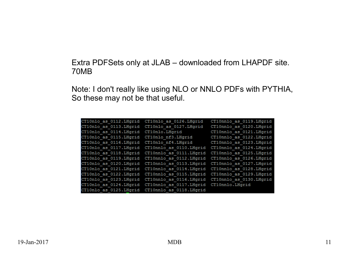#### Extra PDFSets only at JLAB – downloaded from LHAPDF site. 70MB

Note: I don't really like using NLO or NNLO PDFs with PYTHIA, So these may not be that useful.

| CT10nlo as 0112. LHorid | CT10nlo as 0126. LHgrid  | CT10nnlo as 0119.LHqrid  |
|-------------------------|--------------------------|--------------------------|
| CT10nlo as 0113. LHqrid | CT10nlo as 0127.LHqrid   | CT10nnlo as 0120.LHqrid  |
| CT10nlo as 0114. LHqrid | CT10nlo.LHqrid           | CT10nnlo as 0121. LHqrid |
| CT10nlo as 0115. LHgrid | CT10nlo nf3.LHqrid       | CT10nnlo as 0122.LHgrid  |
| CT10nlo as 0116. LHgrid | CT10nlo nf4.LHqrid       | CT10nnlo as 0123. LHgrid |
| CT10nlo as 0117. LHgrid | CT10nnlo as 0110.LHqrid  | CT10nnlo as 0124.LHgrid  |
| CT10nlo as 0118. LHgrid | CT10nnlo as 0111. LHgrid | CT10nnlo as 0125.LHgrid  |
| CT10nlo as 0119. LHgrid | CT10nnlo as 0112. LHgrid | CT10nnlo as 0126. LHorid |
| CT10nlo as 0120. LHqrid | CT10nnlo as 0113. LHqrid | CT10nnlo as 0127.LHgrid  |
| CT10nlo as 0121. LHgrid | CT10nnlo as 0114. LHgrid | CT10nnlo as 0128.LHgrid  |
| CT10nlo as 0122. LHorid | CT10nnlo as 0115.LHgrid  | CT10nnlo as 0129. LHorid |
| CT10nlo as 0123. LHqrid | CT10nnlo as 0116. LHqrid | CT10nnlo as 0130.LHqrid  |
| CT10nlo as 0124. LHqrid | CT10nnlo as 0117. LHgrid | CT10nnlo.LHqrid          |
| CT10nlo as 0125. LHgrid | CT10nnlo as 0118.LHqrid  |                          |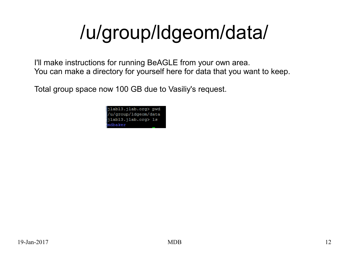# /u/group/ldgeom/data/

I'll make instructions for running BeAGLE from your own area. You can make a directory for yourself here for data that you want to keep.

Total group space now 100 GB due to Vasiliy's request.

| jlabl3.jlab.org> pwd |  |
|----------------------|--|
| /u/group/ldgeom/data |  |
| ∥jlabl3.jlab.org> ls |  |
| mdbaker              |  |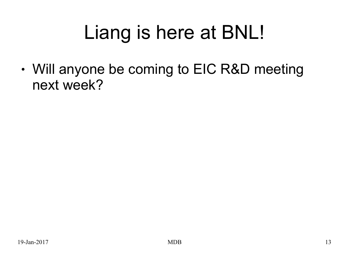## Liang is here at BNL!

• Will anyone be coming to EIC R&D meeting next week?